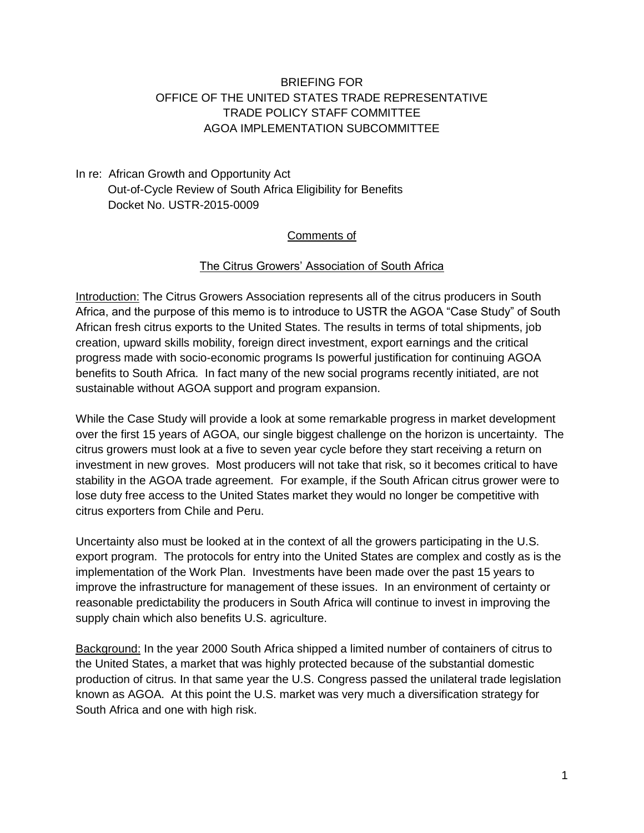### BRIEFING FOR OFFICE OF THE UNITED STATES TRADE REPRESENTATIVE TRADE POLICY STAFF COMMITTEE AGOA IMPLEMENTATION SUBCOMMITTEE

### In re: African Growth and Opportunity Act Out-of-Cycle Review of South Africa Eligibility for Benefits Docket No. USTR-2015-0009

#### Comments of

#### The Citrus Growers' Association of South Africa

Introduction: The Citrus Growers Association represents all of the citrus producers in South Africa, and the purpose of this memo is to introduce to USTR the AGOA "Case Study" of South African fresh citrus exports to the United States. The results in terms of total shipments, job creation, upward skills mobility, foreign direct investment, export earnings and the critical progress made with socio-economic programs Is powerful justification for continuing AGOA benefits to South Africa. In fact many of the new social programs recently initiated, are not sustainable without AGOA support and program expansion.

While the Case Study will provide a look at some remarkable progress in market development over the first 15 years of AGOA, our single biggest challenge on the horizon is uncertainty. The citrus growers must look at a five to seven year cycle before they start receiving a return on investment in new groves. Most producers will not take that risk, so it becomes critical to have stability in the AGOA trade agreement. For example, if the South African citrus grower were to lose duty free access to the United States market they would no longer be competitive with citrus exporters from Chile and Peru.

Uncertainty also must be looked at in the context of all the growers participating in the U.S. export program. The protocols for entry into the United States are complex and costly as is the implementation of the Work Plan. Investments have been made over the past 15 years to improve the infrastructure for management of these issues. In an environment of certainty or reasonable predictability the producers in South Africa will continue to invest in improving the supply chain which also benefits U.S. agriculture.

Background: In the year 2000 South Africa shipped a limited number of containers of citrus to the United States, a market that was highly protected because of the substantial domestic production of citrus. In that same year the U.S. Congress passed the unilateral trade legislation known as AGOA. At this point the U.S. market was very much a diversification strategy for South Africa and one with high risk.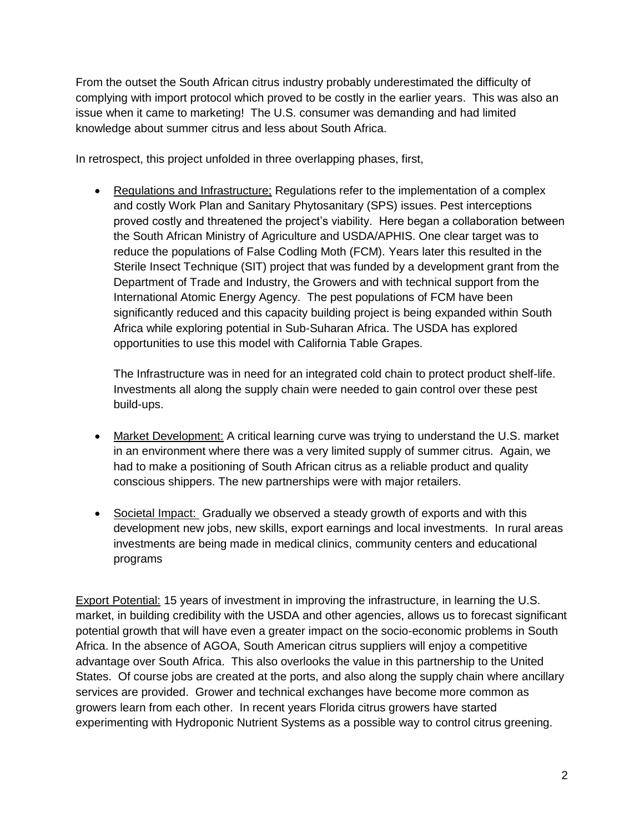From the outset the South African citrus industry probably underestimated the difficulty of complying with import protocol which proved to be costly in the earlier years. This was also an issue when it came to marketing! The U.S. consumer was demanding and had limited knowledge about summer citrus and less about South Africa.

In retrospect, this project unfolded in three overlapping phases, first,

• Regulations and Infrastructure; Regulations refer to the implementation of a complex and costly Work Plan and Sanitary Phytosanitary (SPS) issues. Pest interceptions proved costly and threatened the project's viability. Here began a collaboration between the South African Ministry of Agriculture and USDA/APHIS. One clear target was to reduce the populations of False Codling Moth (FCM). Years later this resulted in the Sterile Insect Technique (SIT) project that was funded by a development grant from the Department of Trade and Industry, the Growers and with technical support from the International Atomic Energy Agency. The pest populations of FCM have been significantly reduced and this capacity building project is being expanded within South Africa while exploring potential in Sub-Suharan Africa. The USDA has explored opportunities to use this model with California Table Grapes.

The Infrastructure was in need for an integrated cold chain to protect product shelf-life. Investments all along the supply chain were needed to gain control over these pest build-ups.

- Market Development: A critical learning curve was trying to understand the U.S. market in an environment where there was a very limited supply of summer citrus. Again, we had to make a positioning of South African citrus as a reliable product and quality conscious shippers. The new partnerships were with major retailers.
- Societal Impact: Gradually we observed a steady growth of exports and with this development new jobs, new skills, export earnings and local investments. In rural areas investments are being made in medical clinics, community centers and educational programs

Export Potential: 15 years of investment in improving the infrastructure, in learning the U.S. market, in building credibility with the USDA and other agencies, allows us to forecast significant potential growth that will have even a greater impact on the socio-economic problems in South Africa. In the absence of AGOA, South American citrus suppliers will enjoy a competitive advantage over South Africa. This also overlooks the value in this partnership to the United States. Of course jobs are created at the ports, and also along the supply chain where ancillary services are provided. Grower and technical exchanges have become more common as growers learn from each other. In recent years Florida citrus growers have started experimenting with Hydroponic Nutrient Systems as a possible way to control citrus greening.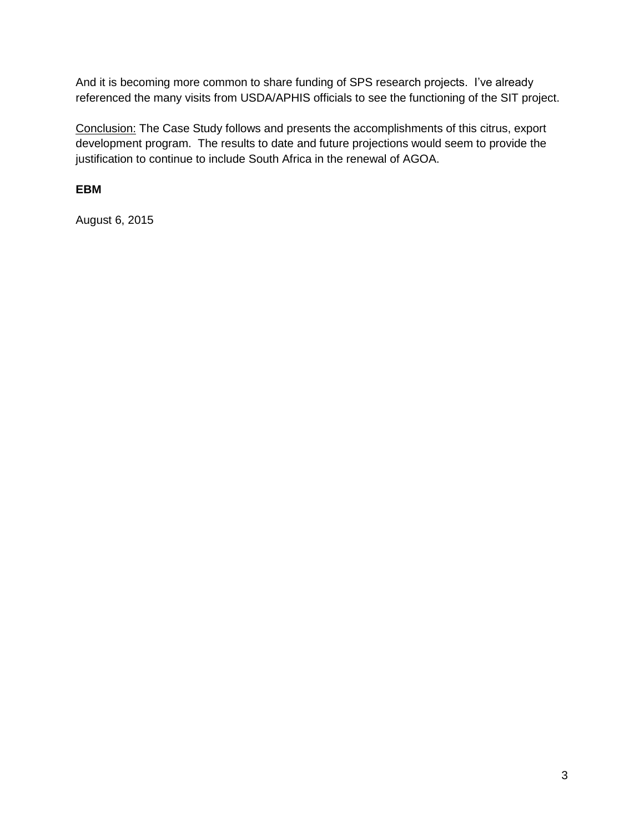And it is becoming more common to share funding of SPS research projects. I've already referenced the many visits from USDA/APHIS officials to see the functioning of the SIT project.

Conclusion: The Case Study follows and presents the accomplishments of this citrus, export development program. The results to date and future projections would seem to provide the justification to continue to include South Africa in the renewal of AGOA.

**EBM**

August 6, 2015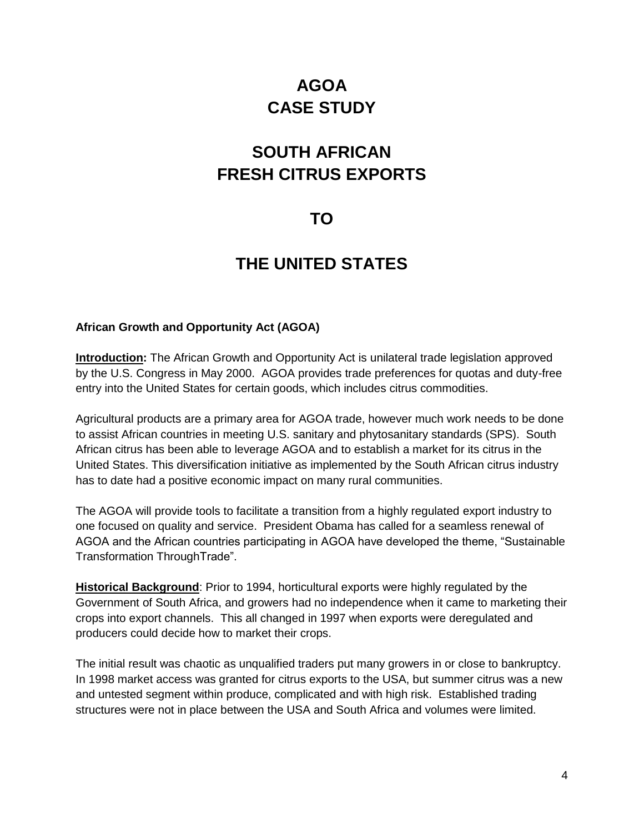# **AGOA CASE STUDY**

# **SOUTH AFRICAN FRESH CITRUS EXPORTS**

# **TO**

# **THE UNITED STATES**

#### **African Growth and Opportunity Act (AGOA)**

**Introduction:** The African Growth and Opportunity Act is unilateral trade legislation approved by the U.S. Congress in May 2000. AGOA provides trade preferences for quotas and duty-free entry into the United States for certain goods, which includes citrus commodities.

Agricultural products are a primary area for AGOA trade, however much work needs to be done to assist African countries in meeting U.S. sanitary and phytosanitary standards (SPS). South African citrus has been able to leverage AGOA and to establish a market for its citrus in the United States. This diversification initiative as implemented by the South African citrus industry has to date had a positive economic impact on many rural communities.

The AGOA will provide tools to facilitate a transition from a highly regulated export industry to one focused on quality and service. President Obama has called for a seamless renewal of AGOA and the African countries participating in AGOA have developed the theme, "Sustainable Transformation ThroughTrade".

**Historical Background**: Prior to 1994, horticultural exports were highly regulated by the Government of South Africa, and growers had no independence when it came to marketing their crops into export channels. This all changed in 1997 when exports were deregulated and producers could decide how to market their crops.

The initial result was chaotic as unqualified traders put many growers in or close to bankruptcy. In 1998 market access was granted for citrus exports to the USA, but summer citrus was a new and untested segment within produce, complicated and with high risk. Established trading structures were not in place between the USA and South Africa and volumes were limited.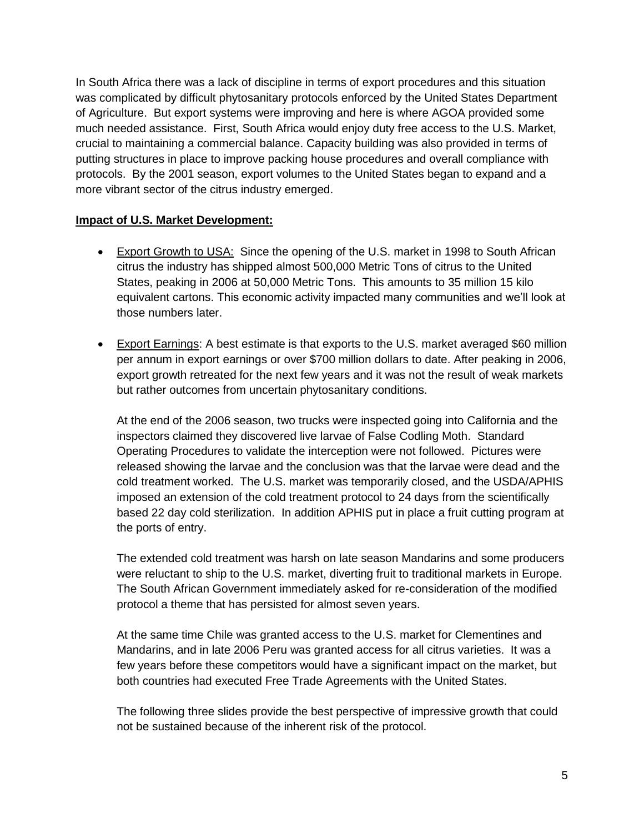In South Africa there was a lack of discipline in terms of export procedures and this situation was complicated by difficult phytosanitary protocols enforced by the United States Department of Agriculture. But export systems were improving and here is where AGOA provided some much needed assistance. First, South Africa would enjoy duty free access to the U.S. Market, crucial to maintaining a commercial balance. Capacity building was also provided in terms of putting structures in place to improve packing house procedures and overall compliance with protocols. By the 2001 season, export volumes to the United States began to expand and a more vibrant sector of the citrus industry emerged.

#### **Impact of U.S. Market Development:**

- Export Growth to USA: Since the opening of the U.S. market in 1998 to South African citrus the industry has shipped almost 500,000 Metric Tons of citrus to the United States, peaking in 2006 at 50,000 Metric Tons. This amounts to 35 million 15 kilo equivalent cartons. This economic activity impacted many communities and we'll look at those numbers later.
- Export Earnings: A best estimate is that exports to the U.S. market averaged \$60 million per annum in export earnings or over \$700 million dollars to date. After peaking in 2006, export growth retreated for the next few years and it was not the result of weak markets but rather outcomes from uncertain phytosanitary conditions.

At the end of the 2006 season, two trucks were inspected going into California and the inspectors claimed they discovered live larvae of False Codling Moth. Standard Operating Procedures to validate the interception were not followed. Pictures were released showing the larvae and the conclusion was that the larvae were dead and the cold treatment worked. The U.S. market was temporarily closed, and the USDA/APHIS imposed an extension of the cold treatment protocol to 24 days from the scientifically based 22 day cold sterilization. In addition APHIS put in place a fruit cutting program at the ports of entry.

The extended cold treatment was harsh on late season Mandarins and some producers were reluctant to ship to the U.S. market, diverting fruit to traditional markets in Europe. The South African Government immediately asked for re-consideration of the modified protocol a theme that has persisted for almost seven years.

At the same time Chile was granted access to the U.S. market for Clementines and Mandarins, and in late 2006 Peru was granted access for all citrus varieties. It was a few years before these competitors would have a significant impact on the market, but both countries had executed Free Trade Agreements with the United States.

The following three slides provide the best perspective of impressive growth that could not be sustained because of the inherent risk of the protocol.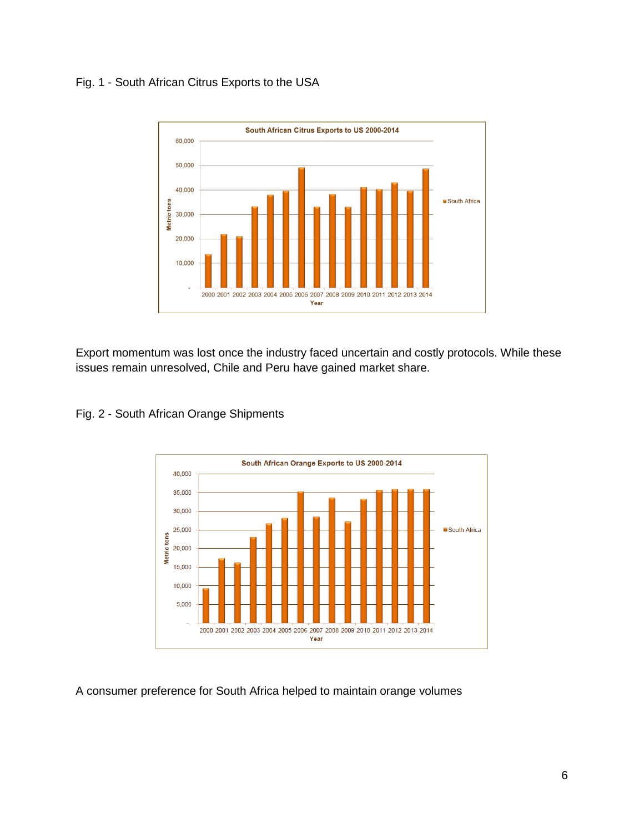## Fig. 1 - South African Citrus Exports to the USA



Export momentum was lost once the industry faced uncertain and costly protocols. While these issues remain unresolved, Chile and Peru have gained market share.



#### Fig. 2 - South African Orange Shipments

A consumer preference for South Africa helped to maintain orange volumes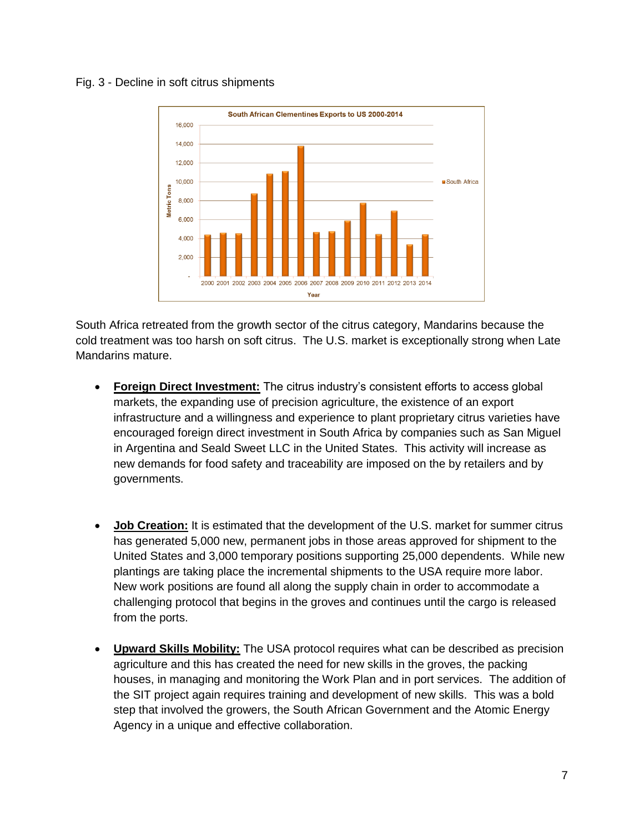#### Fig. 3 - Decline in soft citrus shipments



South Africa retreated from the growth sector of the citrus category, Mandarins because the cold treatment was too harsh on soft citrus. The U.S. market is exceptionally strong when Late Mandarins mature.

- **Foreign Direct Investment:** The citrus industry's consistent efforts to access global markets, the expanding use of precision agriculture, the existence of an export infrastructure and a willingness and experience to plant proprietary citrus varieties have encouraged foreign direct investment in South Africa by companies such as San Miguel in Argentina and Seald Sweet LLC in the United States. This activity will increase as new demands for food safety and traceability are imposed on the by retailers and by governments.
- **Job Creation:** It is estimated that the development of the U.S. market for summer citrus has generated 5,000 new, permanent jobs in those areas approved for shipment to the United States and 3,000 temporary positions supporting 25,000 dependents. While new plantings are taking place the incremental shipments to the USA require more labor. New work positions are found all along the supply chain in order to accommodate a challenging protocol that begins in the groves and continues until the cargo is released from the ports.
- **Upward Skills Mobility:** The USA protocol requires what can be described as precision agriculture and this has created the need for new skills in the groves, the packing houses, in managing and monitoring the Work Plan and in port services. The addition of the SIT project again requires training and development of new skills. This was a bold step that involved the growers, the South African Government and the Atomic Energy Agency in a unique and effective collaboration.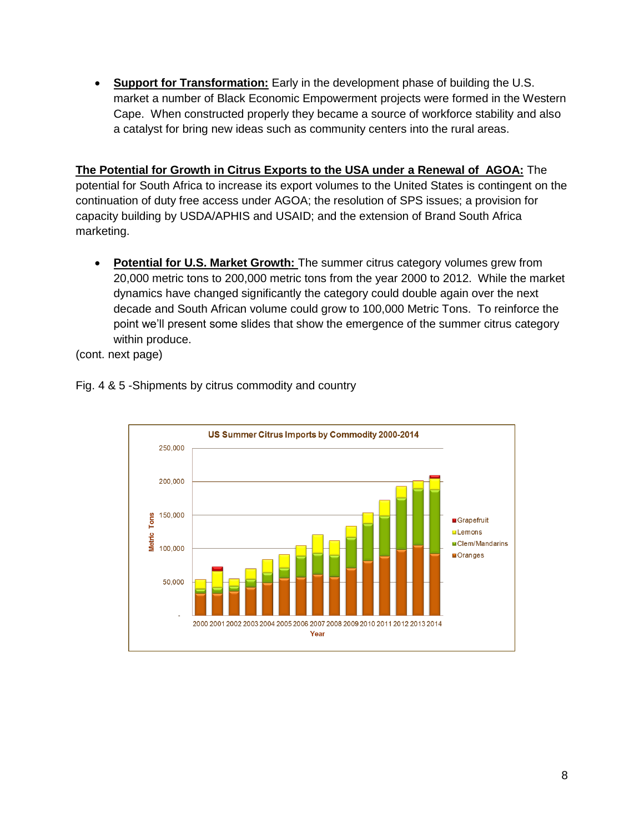**Support for Transformation:** Early in the development phase of building the U.S. market a number of Black Economic Empowerment projects were formed in the Western Cape. When constructed properly they became a source of workforce stability and also a catalyst for bring new ideas such as community centers into the rural areas.

**The Potential for Growth in Citrus Exports to the USA under a Renewal of AGOA:** The potential for South Africa to increase its export volumes to the United States is contingent on the continuation of duty free access under AGOA; the resolution of SPS issues; a provision for capacity building by USDA/APHIS and USAID; and the extension of Brand South Africa marketing.

 **Potential for U.S. Market Growth:** The summer citrus category volumes grew from 20,000 metric tons to 200,000 metric tons from the year 2000 to 2012. While the market dynamics have changed significantly the category could double again over the next decade and South African volume could grow to 100,000 Metric Tons. To reinforce the point we'll present some slides that show the emergence of the summer citrus category within produce.

(cont. next page)



Fig. 4 & 5 -Shipments by citrus commodity and country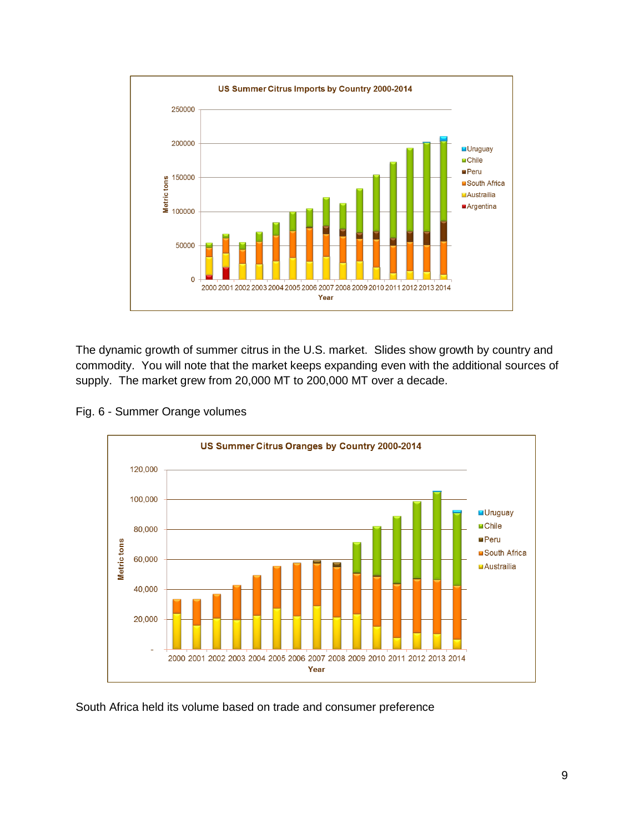

The dynamic growth of summer citrus in the U.S. market. Slides show growth by country and commodity. You will note that the market keeps expanding even with the additional sources of supply. The market grew from 20,000 MT to 200,000 MT over a decade.

Fig. 6 - Summer Orange volumes



South Africa held its volume based on trade and consumer preference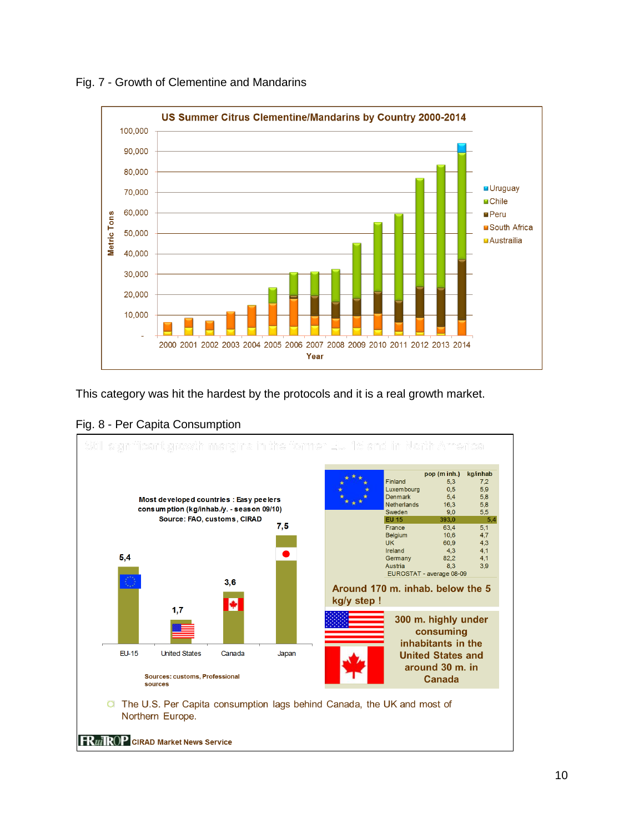

Fig. 7 - Growth of Clementine and Mandarins

This category was hit the hardest by the protocols and it is a real growth market.



Fig. 8 - Per Capita Consumption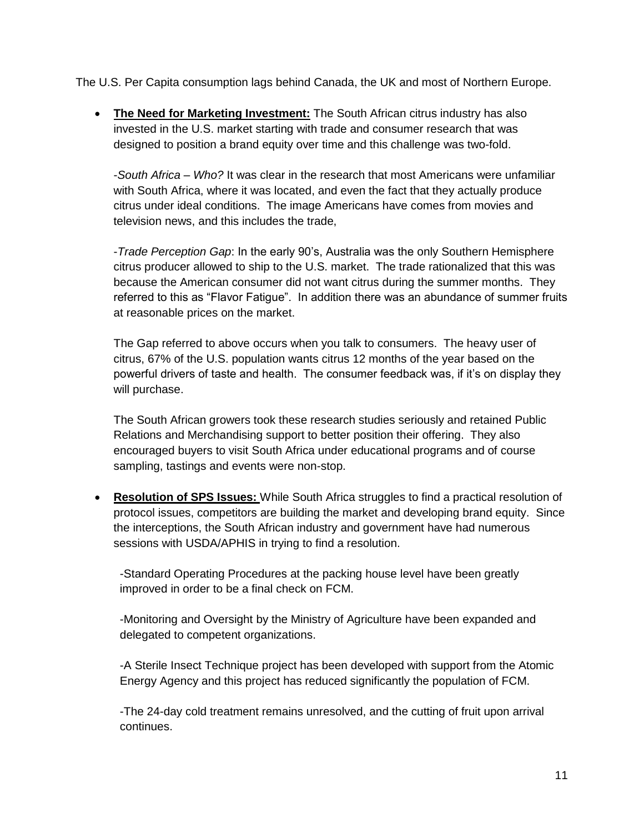The U.S. Per Capita consumption lags behind Canada, the UK and most of Northern Europe.

 **The Need for Marketing Investment:** The South African citrus industry has also invested in the U.S. market starting with trade and consumer research that was designed to position a brand equity over time and this challenge was two-fold.

-*South Africa – Who?* It was clear in the research that most Americans were unfamiliar with South Africa, where it was located, and even the fact that they actually produce citrus under ideal conditions. The image Americans have comes from movies and television news, and this includes the trade,

-*Trade Perception Gap*: In the early 90's, Australia was the only Southern Hemisphere citrus producer allowed to ship to the U.S. market. The trade rationalized that this was because the American consumer did not want citrus during the summer months. They referred to this as "Flavor Fatigue". In addition there was an abundance of summer fruits at reasonable prices on the market.

The Gap referred to above occurs when you talk to consumers. The heavy user of citrus, 67% of the U.S. population wants citrus 12 months of the year based on the powerful drivers of taste and health. The consumer feedback was, if it's on display they will purchase.

The South African growers took these research studies seriously and retained Public Relations and Merchandising support to better position their offering. They also encouraged buyers to visit South Africa under educational programs and of course sampling, tastings and events were non-stop.

 **Resolution of SPS Issues:** While South Africa struggles to find a practical resolution of protocol issues, competitors are building the market and developing brand equity. Since the interceptions, the South African industry and government have had numerous sessions with USDA/APHIS in trying to find a resolution.

-Standard Operating Procedures at the packing house level have been greatly improved in order to be a final check on FCM.

-Monitoring and Oversight by the Ministry of Agriculture have been expanded and delegated to competent organizations.

-A Sterile Insect Technique project has been developed with support from the Atomic Energy Agency and this project has reduced significantly the population of FCM.

-The 24-day cold treatment remains unresolved, and the cutting of fruit upon arrival continues.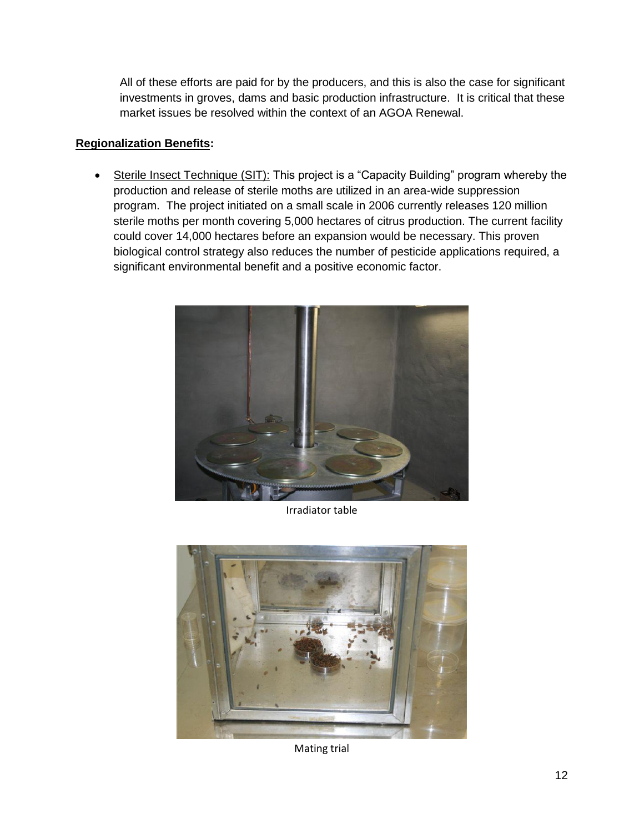All of these efforts are paid for by the producers, and this is also the case for significant investments in groves, dams and basic production infrastructure. It is critical that these market issues be resolved within the context of an AGOA Renewal.

#### **Regionalization Benefits:**

• Sterile Insect Technique (SIT): This project is a "Capacity Building" program whereby the production and release of sterile moths are utilized in an area-wide suppression program. The project initiated on a small scale in 2006 currently releases 120 million sterile moths per month covering 5,000 hectares of citrus production. The current facility could cover 14,000 hectares before an expansion would be necessary. This proven biological control strategy also reduces the number of pesticide applications required, a significant environmental benefit and a positive economic factor.



Irradiator table



Mating trial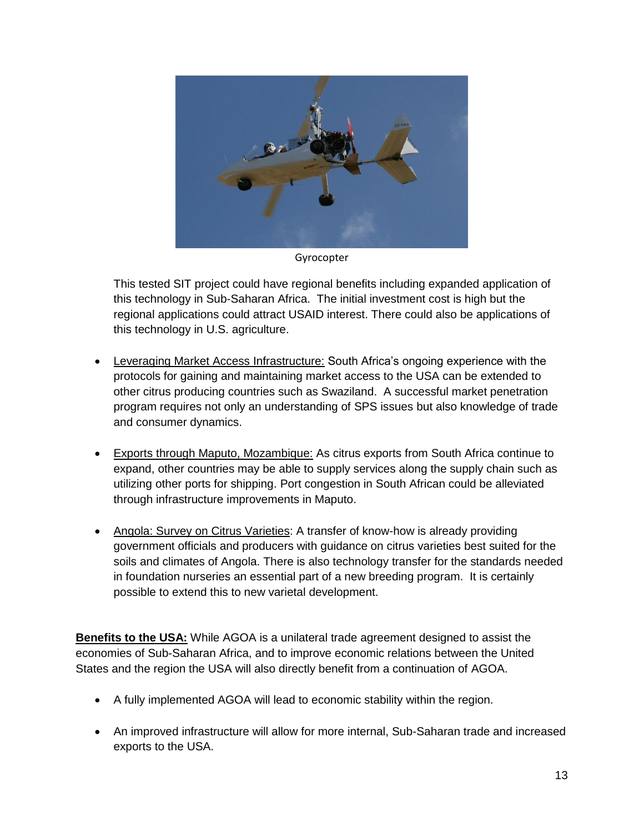

Gyrocopter

This tested SIT project could have regional benefits including expanded application of this technology in Sub-Saharan Africa. The initial investment cost is high but the regional applications could attract USAID interest. There could also be applications of this technology in U.S. agriculture.

- Leveraging Market Access Infrastructure: South Africa's ongoing experience with the protocols for gaining and maintaining market access to the USA can be extended to other citrus producing countries such as Swaziland. A successful market penetration program requires not only an understanding of SPS issues but also knowledge of trade and consumer dynamics.
- Exports through Maputo, Mozambique: As citrus exports from South Africa continue to expand, other countries may be able to supply services along the supply chain such as utilizing other ports for shipping. Port congestion in South African could be alleviated through infrastructure improvements in Maputo.
- Angola: Survey on Citrus Varieties: A transfer of know-how is already providing government officials and producers with guidance on citrus varieties best suited for the soils and climates of Angola. There is also technology transfer for the standards needed in foundation nurseries an essential part of a new breeding program. It is certainly possible to extend this to new varietal development.

**Benefits to the USA:** While AGOA is a unilateral trade agreement designed to assist the economies of Sub-Saharan Africa, and to improve economic relations between the United States and the region the USA will also directly benefit from a continuation of AGOA.

- A fully implemented AGOA will lead to economic stability within the region.
- An improved infrastructure will allow for more internal, Sub-Saharan trade and increased exports to the USA.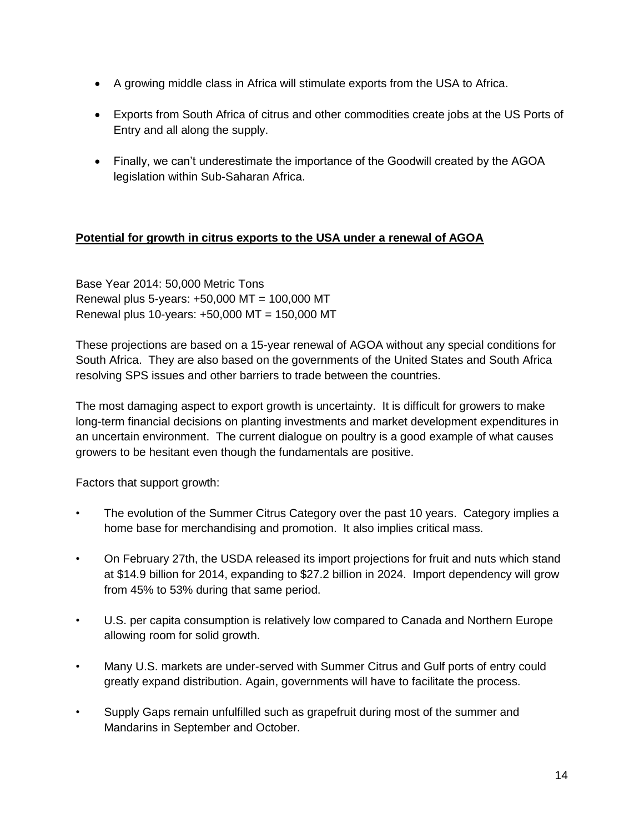- A growing middle class in Africa will stimulate exports from the USA to Africa.
- Exports from South Africa of citrus and other commodities create jobs at the US Ports of Entry and all along the supply.
- Finally, we can't underestimate the importance of the Goodwill created by the AGOA legislation within Sub-Saharan Africa.

## **Potential for growth in citrus exports to the USA under a renewal of AGOA**

Base Year 2014: 50,000 Metric Tons Renewal plus 5-years: +50,000 MT = 100,000 MT Renewal plus 10-years: +50,000 MT = 150,000 MT

These projections are based on a 15-year renewal of AGOA without any special conditions for South Africa. They are also based on the governments of the United States and South Africa resolving SPS issues and other barriers to trade between the countries.

The most damaging aspect to export growth is uncertainty. It is difficult for growers to make long-term financial decisions on planting investments and market development expenditures in an uncertain environment. The current dialogue on poultry is a good example of what causes growers to be hesitant even though the fundamentals are positive.

Factors that support growth:

- The evolution of the Summer Citrus Category over the past 10 years. Category implies a home base for merchandising and promotion. It also implies critical mass.
- On February 27th, the USDA released its import projections for fruit and nuts which stand at \$14.9 billion for 2014, expanding to \$27.2 billion in 2024. Import dependency will grow from 45% to 53% during that same period.
- U.S. per capita consumption is relatively low compared to Canada and Northern Europe allowing room for solid growth.
- Many U.S. markets are under-served with Summer Citrus and Gulf ports of entry could greatly expand distribution. Again, governments will have to facilitate the process.
- Supply Gaps remain unfulfilled such as grapefruit during most of the summer and Mandarins in September and October.